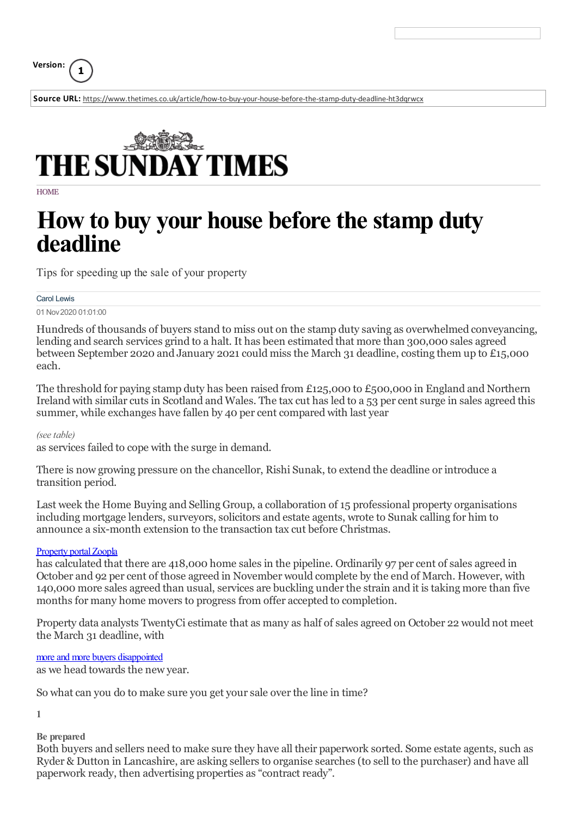**Version: <sup>1</sup>**

**Source URL:** <https://www.thetimes.co.uk/article/how-to-buy-your-house-before-the-stamp-duty-deadline-ht3dqrwcx>



**HOME** 

# **How to buy your house beforethestamp duty deadline**

Tips for speeding up the sale of your property

#### Carol Lewis

01 Nov2020 01:01:00

Hundreds of thousands of buyers stand to miss out on the stamp duty saving as overwhelmed conveyancing, lending and search services grind to a halt. It has been estimated that more than 300,000 sales agreed between September 2020 and January 2021 could miss the March 31 deadline, costing them up to £15,000 each.

The threshold for paying stamp duty has been raised from £125,000 to £500,000 in England and Northern Ireland with similar cuts in Scotland and Wales. The tax cut has led to a 53 per cent surge in sales agreed this summer, while exchanges have fallen by 40 per cent compared with last year

#### *(seetable)*

as services failed to cope with the surge in demand.

There is now growing pressure on the chancellor, Rishi Sunak, to extend the deadline or introduce a transition period.

Last week the Home Buying and Selling Group, a collaboration of 15 professional property organisations including mortgage lenders, surveyors, solicitors and estate agents, wrote to Sunak calling for him to announce a six-month extension to the transaction tax cut before Christmas.

#### Property portal Zoopla

has calculated that there are 418,000 home sales in the pipeline. Ordinarily 97 per cent of sales agreed in October and 92 per cent of those agreed in November would complete by the end of March. However, with 140,000 more sales agreed than usual, services are buckling underthe strain and it is taking more than five months for many home movers to progress from offer accepted to completion.

Property data analysts TwentyCi estimate that as many as half of sales agreed on October 22 would not meet the March 31 deadline, with

more and more buyers [disappointed](https://www.thetimes.co.uk/article/end-of-stamp-duty-holiday-could-wreck-300-000-house-moves-t8ptwpgqs)

as we head towards the new year.

So what can you do to make sure you get your sale over the line in time?

**1**

**Be prepared**

Both buyers and sellers need to make sure they have all their paperwork sorted. Some estate agents, such as Ryder & Dutton in Lancashire, are asking sellers to organise searches (to sell to the purchaser) and have all paperwork ready, then advertising properties as "contract ready".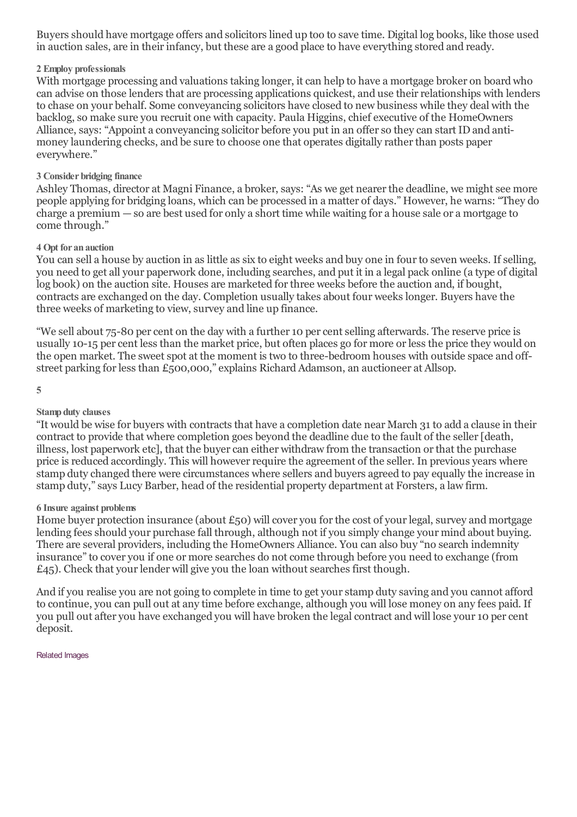Buyers should have mortgage offers and solicitors lined up too to save time. Digital log books, like those used in auction sales, are in their infancy, but these are a good place to have everything stored and ready.

# **2 Employ professionals**

With mortgage processing and valuations taking longer, it can help to have a mortgage broker on board who can advise on those lenders that are processing applications quickest, and use theirrelationships with lenders to chase on your behalf. Some conveyancing solicitors have closed to new business while they deal with the backlog, so make sure you recruit one with capacity. Paula Higgins, chief executive of the HomeOwners Alliance, says: "Appoint a conveyancing solicitor before you put in an offerso they can start IDand antimoney laundering checks, and be sure to choose one that operates digitally rather than posts paper everywhere."

### **3 Consider bridging finance**

Ashley Thomas, director at Magni Finance, a broker, says: "As we get nearer the deadline, we might see more people applying for bridging loans, which can be processed in a matter of days." However, he warns: "They do charge a premium — so are best used for only a short time while waiting for a house sale or a mortgage to come through."

## **4 Opt for an auction**

You can sell a house by auction in as little as six to eight weeks and buy one in four to seven weeks. If selling, you need to get all your paperwork done, including searches, and put it in a legal pack online (a type of digital log book) on the auction site. Houses are marketed for three weeks before the auction and, if bought, contracts are exchanged on the day. Completion usually takes about four weeks longer. Buyers have the three weeks of marketing to view, survey and line up finance.

"We sell about 75-80 per cent on the day with a further 10 per cent selling afterwards. The reserve price is usually 10-15 per cent less than the market price, but often places go for more or less the price they would on the open market. The sweet spot at the moment is two to three-bedroom houses with outside space and offstreet parking forless than £500,000," explains Richard Adamson, an auctioneer at Allsop.

**5**

### **Stamp duty clauses**

"It would be wise for buyers with contracts that have a completion date near March 31 to add a clause in their contract to provide that where completion goes beyond the deadline due to the fault of the seller [death, illness, lost paperwork etc], that the buyer can either withdraw from the transaction or that the purchase price is reduced accordingly. This will however require the agreement of the seller. In previous years where stamp duty changed there were circumstances where sellers and buyers agreed to pay equally the increase in stamp duty,"says Lucy Barber, head of the residential property department at Forsters, a law firm.

#### **6 Insure against problems**

Home buyer protection insurance (about  $E_{50}$ ) will cover you for the cost of your legal, survey and mortgage lending fees should your purchase fall through, although not if you simply change your mind about buying. There are several providers, including the HomeOwners Alliance. You can also buy "no search indemnity insurance" to cover you if one or more searches do not come through before you need to exchange (from  $£45$ ). Check that your lender will give you the loan without searches first though.

And if you realise you are not going to complete in time to get yourstamp duty saving and you cannot afford to continue, you can pull out at any time before exchange, although you will lose money on any fees paid. If you pull out after you have exchanged you will have broken the legal contract and will lose your 10 per cent deposit.

#### Related Images